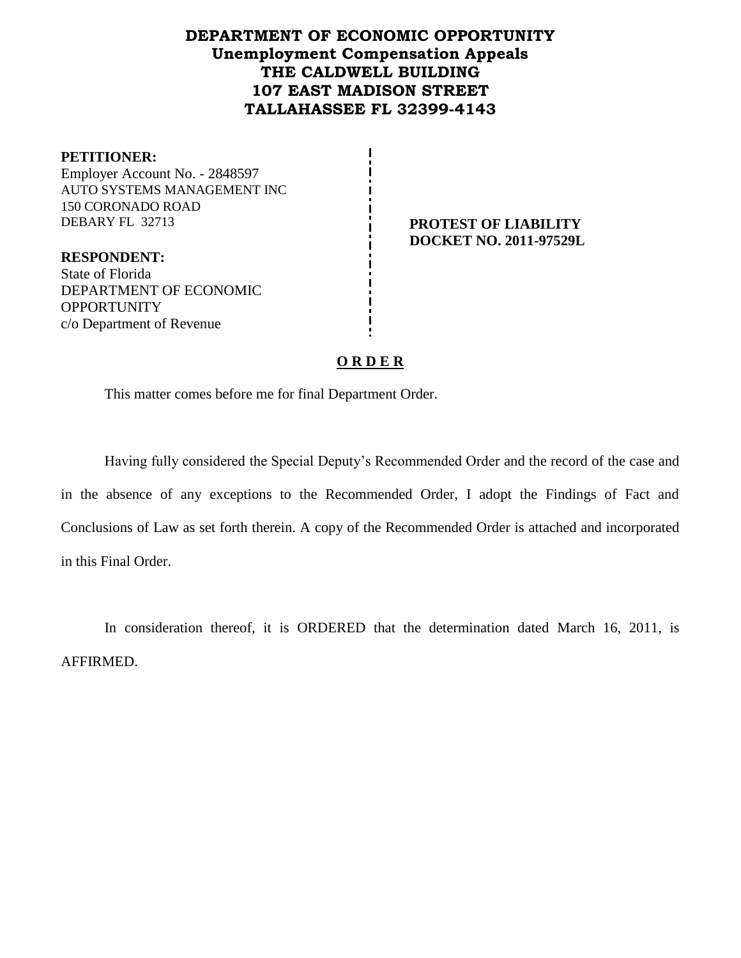# **DEPARTMENT OF ECONOMIC OPPORTUNITY Unemployment Compensation Appeals THE CALDWELL BUILDING 107 EAST MADISON STREET TALLAHASSEE FL 32399-4143**

| <b>PETITIONER:</b>             |
|--------------------------------|
| Employer Account No. - 2848597 |
| AUTO SYSTEMS MANAGEMENT INC    |
| 150 CORONADO ROAD              |
| DEBARY FL 32713                |
|                                |
| <b>RESPONDENT:</b>             |

**PROTEST OF LIABILITY DOCKET NO. 2011-97529L**

State of Florida DEPARTMENT OF ECONOMIC **OPPORTUNITY** c/o Department of Revenue

#### **O R D E R**

This matter comes before me for final Department Order.

Having fully considered the Special Deputy's Recommended Order and the record of the case and in the absence of any exceptions to the Recommended Order, I adopt the Findings of Fact and Conclusions of Law as set forth therein. A copy of the Recommended Order is attached and incorporated in this Final Order.

In consideration thereof, it is ORDERED that the determination dated March 16, 2011, is AFFIRMED.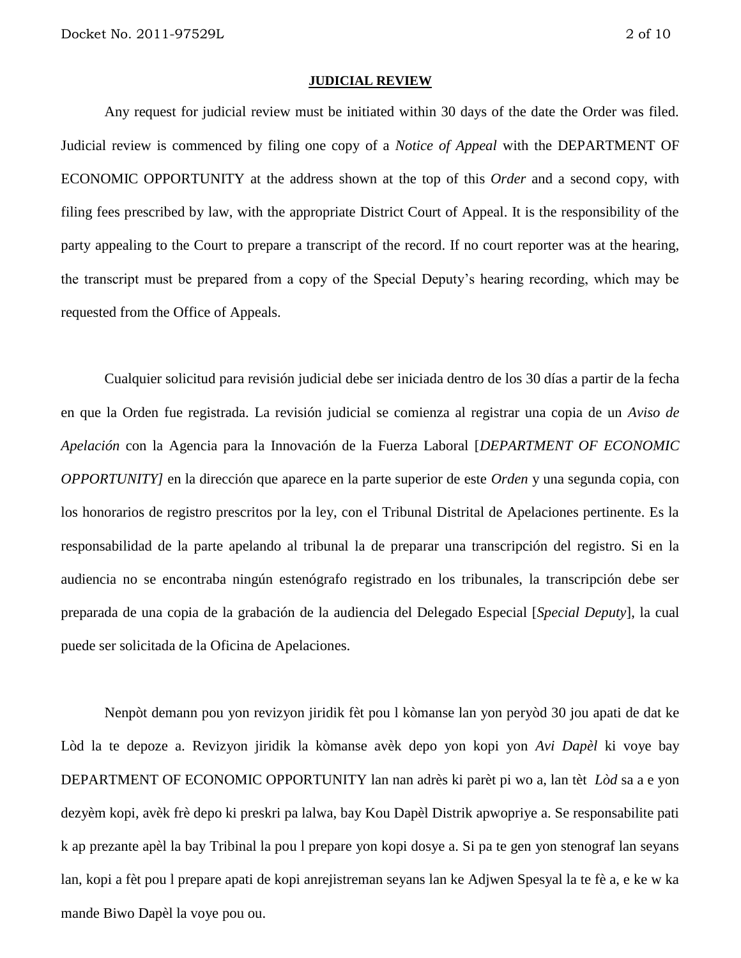#### **JUDICIAL REVIEW**

Any request for judicial review must be initiated within 30 days of the date the Order was filed. Judicial review is commenced by filing one copy of a *Notice of Appeal* with the DEPARTMENT OF ECONOMIC OPPORTUNITY at the address shown at the top of this *Order* and a second copy, with filing fees prescribed by law, with the appropriate District Court of Appeal. It is the responsibility of the party appealing to the Court to prepare a transcript of the record. If no court reporter was at the hearing, the transcript must be prepared from a copy of the Special Deputy's hearing recording, which may be requested from the Office of Appeals.

Cualquier solicitud para revisión judicial debe ser iniciada dentro de los 30 días a partir de la fecha en que la Orden fue registrada. La revisión judicial se comienza al registrar una copia de un *Aviso de Apelación* con la Agencia para la Innovación de la Fuerza Laboral [*DEPARTMENT OF ECONOMIC OPPORTUNITY]* en la dirección que aparece en la parte superior de este *Orden* y una segunda copia, con los honorarios de registro prescritos por la ley, con el Tribunal Distrital de Apelaciones pertinente. Es la responsabilidad de la parte apelando al tribunal la de preparar una transcripción del registro. Si en la audiencia no se encontraba ningún estenógrafo registrado en los tribunales, la transcripción debe ser preparada de una copia de la grabación de la audiencia del Delegado Especial [*Special Deputy*], la cual puede ser solicitada de la Oficina de Apelaciones.

Nenpòt demann pou yon revizyon jiridik fèt pou l kòmanse lan yon peryòd 30 jou apati de dat ke Lòd la te depoze a. Revizyon jiridik la kòmanse avèk depo yon kopi yon *Avi Dapèl* ki voye bay DEPARTMENT OF ECONOMIC OPPORTUNITY lan nan adrès ki parèt pi wo a, lan tèt *Lòd* sa a e yon dezyèm kopi, avèk frè depo ki preskri pa lalwa, bay Kou Dapèl Distrik apwopriye a. Se responsabilite pati k ap prezante apèl la bay Tribinal la pou l prepare yon kopi dosye a. Si pa te gen yon stenograf lan seyans lan, kopi a fèt pou l prepare apati de kopi anrejistreman seyans lan ke Adjwen Spesyal la te fè a, e ke w ka mande Biwo Dapèl la voye pou ou.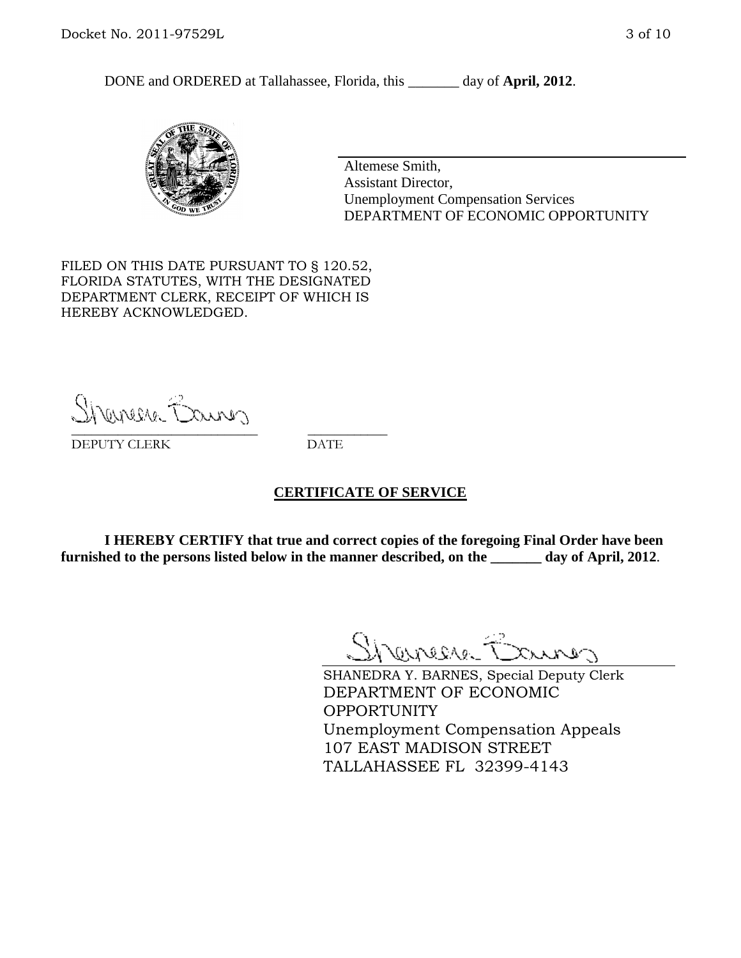DONE and ORDERED at Tallahassee, Florida, this day of **April, 2012**.



Altemese Smith, Assistant Director, Unemployment Compensation Services DEPARTMENT OF ECONOMIC OPPORTUNITY

FILED ON THIS DATE PURSUANT TO § 120.52, FLORIDA STATUTES, WITH THE DESIGNATED DEPARTMENT CLERK, RECEIPT OF WHICH IS HEREBY ACKNOWLEDGED.

Shenesse Bainer \_\_\_\_\_\_\_\_\_\_\_\_\_\_\_\_\_\_\_\_\_\_\_\_\_\_\_\_ \_\_\_\_\_\_\_\_\_\_\_\_

DEPUTY CLERK DATE

#### **CERTIFICATE OF SERVICE**

**I HEREBY CERTIFY that true and correct copies of the foregoing Final Order have been furnished to the persons listed below in the manner described, on the \_\_\_\_\_\_\_ day of April, 2012**.

Shaner Barnes

SHANEDRA Y. BARNES, Special Deputy Clerk DEPARTMENT OF ECONOMIC OPPORTUNITY Unemployment Compensation Appeals 107 EAST MADISON STREET TALLAHASSEE FL 32399-4143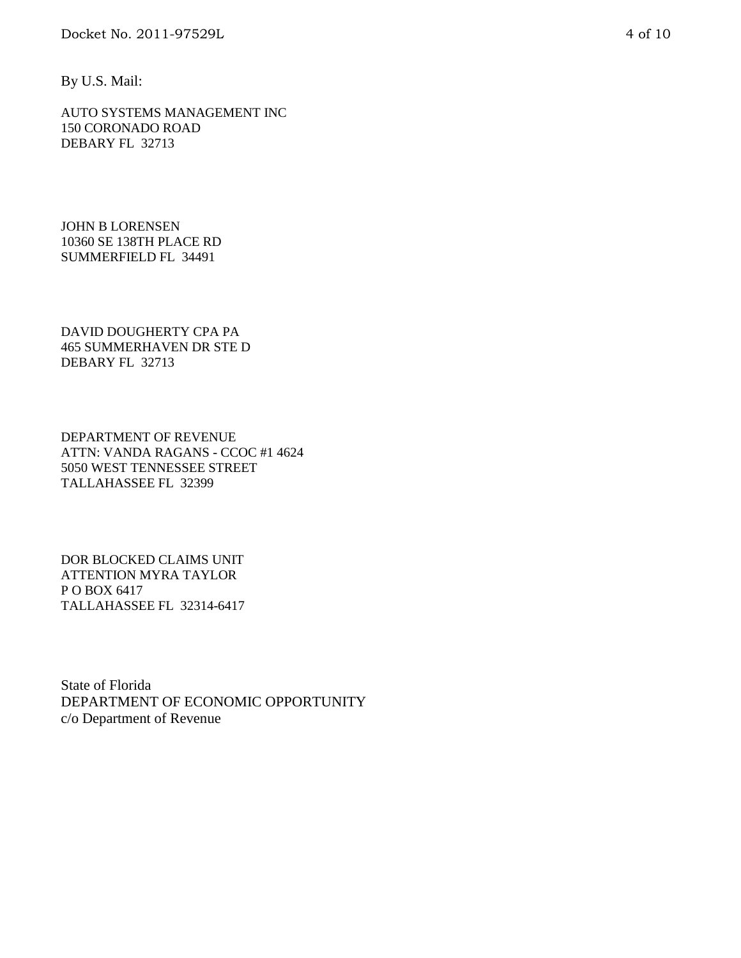By U.S. Mail:

AUTO SYSTEMS MANAGEMENT INC 150 CORONADO ROAD DEBARY FL 32713

JOHN B LORENSEN 10360 SE 138TH PLACE RD SUMMERFIELD FL 34491

DAVID DOUGHERTY CPA PA 465 SUMMERHAVEN DR STE D DEBARY FL 32713

DEPARTMENT OF REVENUE ATTN: VANDA RAGANS - CCOC #1 4624 5050 WEST TENNESSEE STREET TALLAHASSEE FL 32399

DOR BLOCKED CLAIMS UNIT ATTENTION MYRA TAYLOR P O BOX 6417 TALLAHASSEE FL 32314-6417

State of Florida DEPARTMENT OF ECONOMIC OPPORTUNITY c/o Department of Revenue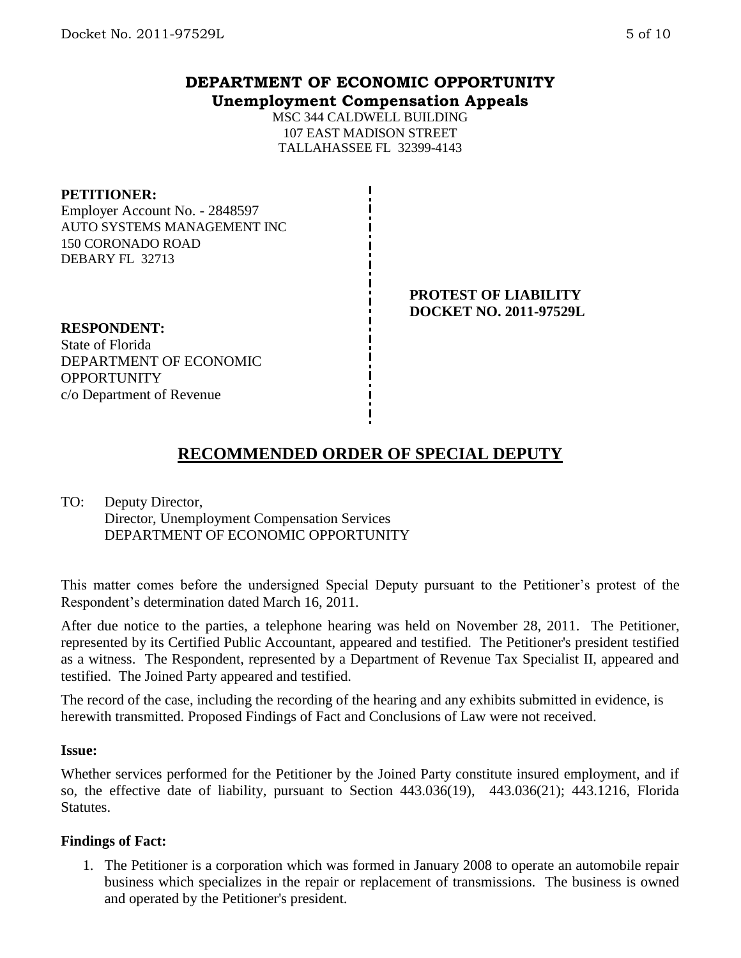## **DEPARTMENT OF ECONOMIC OPPORTUNITY Unemployment Compensation Appeals**

MSC 344 CALDWELL BUILDING 107 EAST MADISON STREET TALLAHASSEE FL 32399-4143

#### **PETITIONER:**

Employer Account No. - 2848597 AUTO SYSTEMS MANAGEMENT INC 150 CORONADO ROAD DEBARY FL 32713

#### **PROTEST OF LIABILITY DOCKET NO. 2011-97529L**

**RESPONDENT:** State of Florida DEPARTMENT OF ECONOMIC **OPPORTUNITY** c/o Department of Revenue

# **RECOMMENDED ORDER OF SPECIAL DEPUTY**

TO: Deputy Director, Director, Unemployment Compensation Services DEPARTMENT OF ECONOMIC OPPORTUNITY

This matter comes before the undersigned Special Deputy pursuant to the Petitioner's protest of the Respondent's determination dated March 16, 2011.

After due notice to the parties, a telephone hearing was held on November 28, 2011. The Petitioner, represented by its Certified Public Accountant, appeared and testified. The Petitioner's president testified as a witness. The Respondent, represented by a Department of Revenue Tax Specialist II, appeared and testified. The Joined Party appeared and testified.

The record of the case, including the recording of the hearing and any exhibits submitted in evidence, is herewith transmitted. Proposed Findings of Fact and Conclusions of Law were not received.

#### **Issue:**

Whether services performed for the Petitioner by the Joined Party constitute insured employment, and if so, the effective date of liability, pursuant to Section 443.036(19), 443.036(21); 443.1216, Florida **Statutes**.

#### **Findings of Fact:**

1. The Petitioner is a corporation which was formed in January 2008 to operate an automobile repair business which specializes in the repair or replacement of transmissions. The business is owned and operated by the Petitioner's president.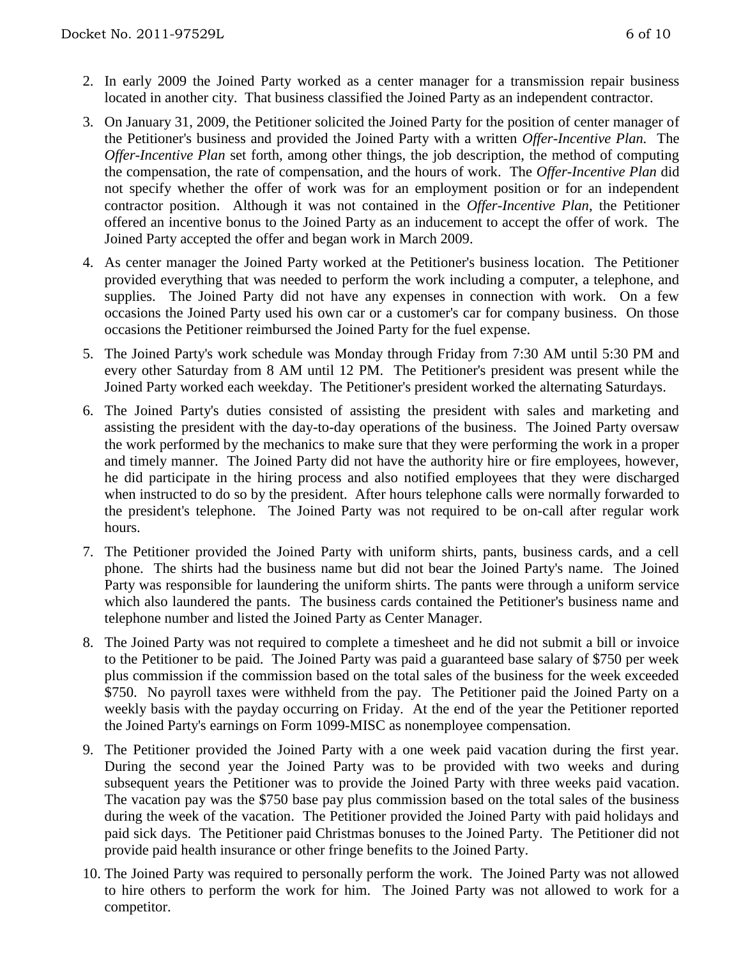- 2. In early 2009 the Joined Party worked as a center manager for a transmission repair business located in another city. That business classified the Joined Party as an independent contractor.
- 3. On January 31, 2009, the Petitioner solicited the Joined Party for the position of center manager of the Petitioner's business and provided the Joined Party with a written *Offer-Incentive Plan.* The *Offer-Incentive Plan* set forth, among other things, the job description, the method of computing the compensation, the rate of compensation, and the hours of work. The *Offer-Incentive Plan* did not specify whether the offer of work was for an employment position or for an independent contractor position. Although it was not contained in the *Offer-Incentive Plan*, the Petitioner offered an incentive bonus to the Joined Party as an inducement to accept the offer of work. The Joined Party accepted the offer and began work in March 2009.
- 4. As center manager the Joined Party worked at the Petitioner's business location. The Petitioner provided everything that was needed to perform the work including a computer, a telephone, and supplies. The Joined Party did not have any expenses in connection with work. On a few occasions the Joined Party used his own car or a customer's car for company business. On those occasions the Petitioner reimbursed the Joined Party for the fuel expense.
- 5. The Joined Party's work schedule was Monday through Friday from 7:30 AM until 5:30 PM and every other Saturday from 8 AM until 12 PM. The Petitioner's president was present while the Joined Party worked each weekday. The Petitioner's president worked the alternating Saturdays.
- 6. The Joined Party's duties consisted of assisting the president with sales and marketing and assisting the president with the day-to-day operations of the business. The Joined Party oversaw the work performed by the mechanics to make sure that they were performing the work in a proper and timely manner. The Joined Party did not have the authority hire or fire employees, however, he did participate in the hiring process and also notified employees that they were discharged when instructed to do so by the president. After hours telephone calls were normally forwarded to the president's telephone. The Joined Party was not required to be on-call after regular work hours.
- 7. The Petitioner provided the Joined Party with uniform shirts, pants, business cards, and a cell phone. The shirts had the business name but did not bear the Joined Party's name. The Joined Party was responsible for laundering the uniform shirts. The pants were through a uniform service which also laundered the pants. The business cards contained the Petitioner's business name and telephone number and listed the Joined Party as Center Manager.
- 8. The Joined Party was not required to complete a timesheet and he did not submit a bill or invoice to the Petitioner to be paid. The Joined Party was paid a guaranteed base salary of \$750 per week plus commission if the commission based on the total sales of the business for the week exceeded \$750. No payroll taxes were withheld from the pay. The Petitioner paid the Joined Party on a weekly basis with the payday occurring on Friday. At the end of the year the Petitioner reported the Joined Party's earnings on Form 1099-MISC as nonemployee compensation.
- 9. The Petitioner provided the Joined Party with a one week paid vacation during the first year. During the second year the Joined Party was to be provided with two weeks and during subsequent years the Petitioner was to provide the Joined Party with three weeks paid vacation. The vacation pay was the \$750 base pay plus commission based on the total sales of the business during the week of the vacation. The Petitioner provided the Joined Party with paid holidays and paid sick days. The Petitioner paid Christmas bonuses to the Joined Party. The Petitioner did not provide paid health insurance or other fringe benefits to the Joined Party.
- 10. The Joined Party was required to personally perform the work. The Joined Party was not allowed to hire others to perform the work for him. The Joined Party was not allowed to work for a competitor.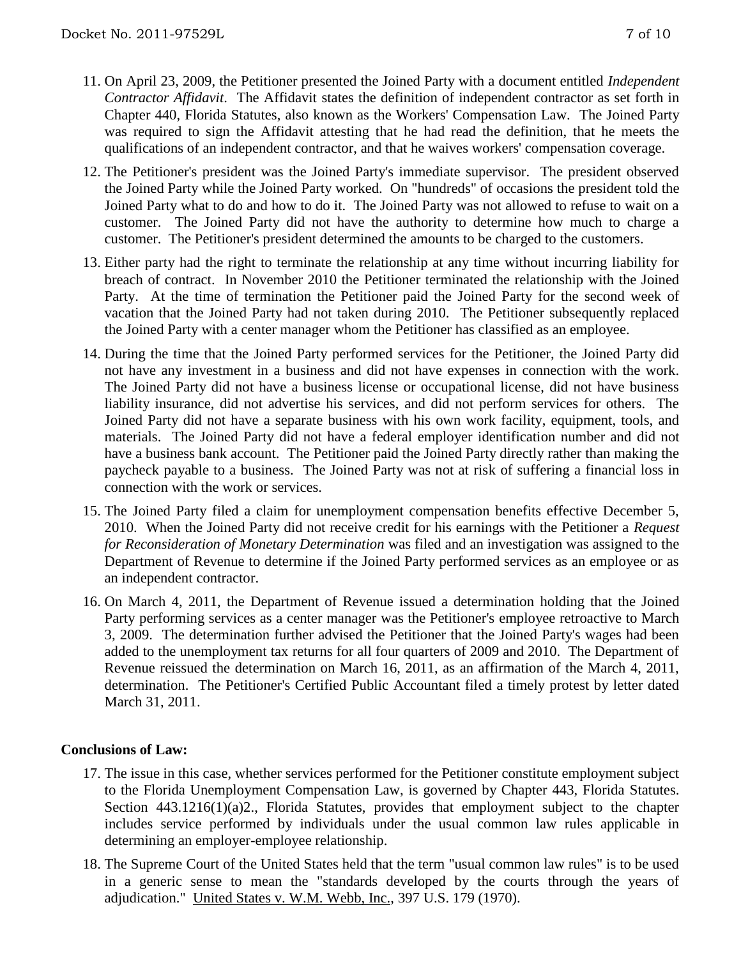- 11. On April 23, 2009, the Petitioner presented the Joined Party with a document entitled *Independent Contractor Affidavit*. The Affidavit states the definition of independent contractor as set forth in Chapter 440, Florida Statutes, also known as the Workers' Compensation Law. The Joined Party was required to sign the Affidavit attesting that he had read the definition, that he meets the qualifications of an independent contractor, and that he waives workers' compensation coverage.
- 12. The Petitioner's president was the Joined Party's immediate supervisor. The president observed the Joined Party while the Joined Party worked. On "hundreds" of occasions the president told the Joined Party what to do and how to do it. The Joined Party was not allowed to refuse to wait on a customer. The Joined Party did not have the authority to determine how much to charge a customer. The Petitioner's president determined the amounts to be charged to the customers.
- 13. Either party had the right to terminate the relationship at any time without incurring liability for breach of contract. In November 2010 the Petitioner terminated the relationship with the Joined Party. At the time of termination the Petitioner paid the Joined Party for the second week of vacation that the Joined Party had not taken during 2010. The Petitioner subsequently replaced the Joined Party with a center manager whom the Petitioner has classified as an employee.
- 14. During the time that the Joined Party performed services for the Petitioner, the Joined Party did not have any investment in a business and did not have expenses in connection with the work. The Joined Party did not have a business license or occupational license, did not have business liability insurance, did not advertise his services, and did not perform services for others. The Joined Party did not have a separate business with his own work facility, equipment, tools, and materials. The Joined Party did not have a federal employer identification number and did not have a business bank account. The Petitioner paid the Joined Party directly rather than making the paycheck payable to a business. The Joined Party was not at risk of suffering a financial loss in connection with the work or services.
- 15. The Joined Party filed a claim for unemployment compensation benefits effective December 5, 2010. When the Joined Party did not receive credit for his earnings with the Petitioner a *Request for Reconsideration of Monetary Determination* was filed and an investigation was assigned to the Department of Revenue to determine if the Joined Party performed services as an employee or as an independent contractor.
- 16. On March 4, 2011, the Department of Revenue issued a determination holding that the Joined Party performing services as a center manager was the Petitioner's employee retroactive to March 3, 2009. The determination further advised the Petitioner that the Joined Party's wages had been added to the unemployment tax returns for all four quarters of 2009 and 2010. The Department of Revenue reissued the determination on March 16, 2011, as an affirmation of the March 4, 2011, determination. The Petitioner's Certified Public Accountant filed a timely protest by letter dated March 31, 2011.

### **Conclusions of Law:**

- 17. The issue in this case, whether services performed for the Petitioner constitute employment subject to the Florida Unemployment Compensation Law, is governed by Chapter 443, Florida Statutes. Section 443.1216(1)(a)2., Florida Statutes, provides that employment subject to the chapter includes service performed by individuals under the usual common law rules applicable in determining an employer-employee relationship.
- 18. The Supreme Court of the United States held that the term "usual common law rules" is to be used in a generic sense to mean the "standards developed by the courts through the years of adjudication." United States v. W.M. Webb, Inc., 397 U.S. 179 (1970).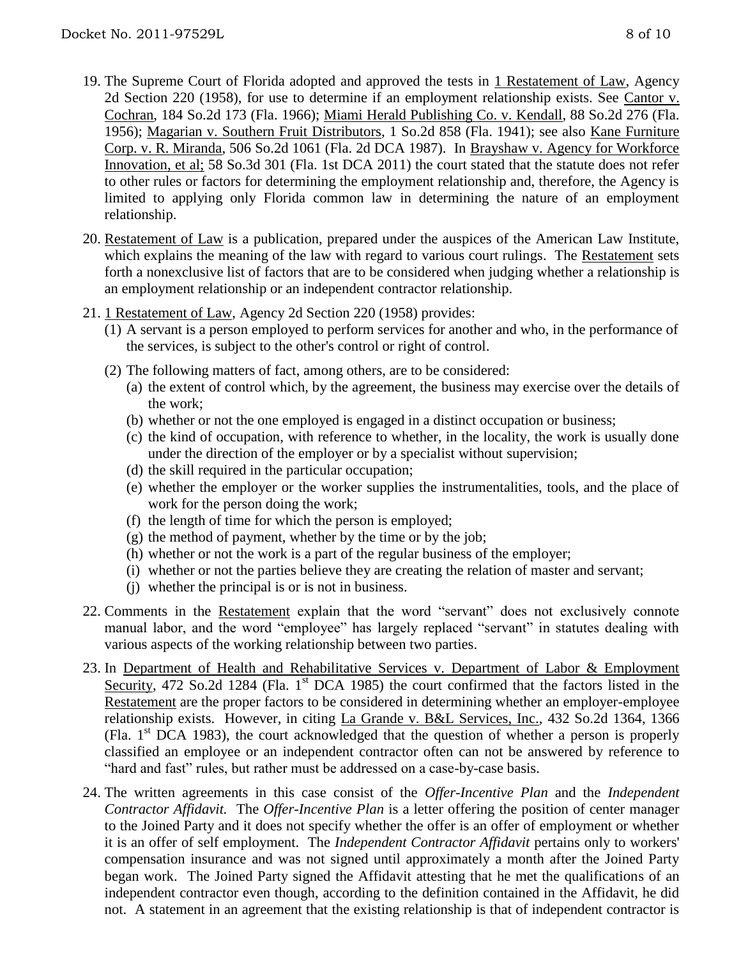relationship.

- 19. The Supreme Court of Florida adopted and approved the tests in 1 Restatement of Law, Agency 2d Section 220 (1958), for use to determine if an employment relationship exists. See Cantor v. Cochran, 184 So.2d 173 (Fla. 1966); Miami Herald Publishing Co. v. Kendall, 88 So.2d 276 (Fla. 1956); Magarian v. Southern Fruit Distributors, 1 So.2d 858 (Fla. 1941); see also Kane Furniture Corp. v. R. Miranda, 506 So.2d 1061 (Fla. 2d DCA 1987). In Brayshaw v. Agency for Workforce Innovation, et al; 58 So.3d 301 (Fla. 1st DCA 2011) the court stated that the statute does not refer to other rules or factors for determining the employment relationship and, therefore, the Agency is limited to applying only Florida common law in determining the nature of an employment
- 20. Restatement of Law is a publication, prepared under the auspices of the American Law Institute, which explains the meaning of the law with regard to various court rulings. The Restatement sets forth a nonexclusive list of factors that are to be considered when judging whether a relationship is an employment relationship or an independent contractor relationship.
- 21. 1 Restatement of Law, Agency 2d Section 220 (1958) provides:
	- (1) A servant is a person employed to perform services for another and who, in the performance of the services, is subject to the other's control or right of control.
	- (2) The following matters of fact, among others, are to be considered:
		- (a) the extent of control which, by the agreement, the business may exercise over the details of the work;
		- (b) whether or not the one employed is engaged in a distinct occupation or business;
		- (c) the kind of occupation, with reference to whether, in the locality, the work is usually done under the direction of the employer or by a specialist without supervision;
		- (d) the skill required in the particular occupation;
		- (e) whether the employer or the worker supplies the instrumentalities, tools, and the place of work for the person doing the work;
		- (f) the length of time for which the person is employed;
		- $(g)$  the method of payment, whether by the time or by the job;
		- (h) whether or not the work is a part of the regular business of the employer;
		- (i) whether or not the parties believe they are creating the relation of master and servant;
		- (j) whether the principal is or is not in business.
- 22. Comments in the Restatement explain that the word "servant" does not exclusively connote manual labor, and the word "employee" has largely replaced "servant" in statutes dealing with various aspects of the working relationship between two parties.
- 23. In Department of Health and Rehabilitative Services v. Department of Labor & Employment Security, 472 So.2d 1284 (Fla. 1<sup>st</sup> DCA 1985) the court confirmed that the factors listed in the Restatement are the proper factors to be considered in determining whether an employer-employee relationship exists. However, in citing La Grande v. B&L Services, Inc., 432 So.2d 1364, 1366 (Fla. 1st DCA 1983), the court acknowledged that the question of whether a person is properly classified an employee or an independent contractor often can not be answered by reference to "hard and fast" rules, but rather must be addressed on a case-by-case basis.
- 24. The written agreements in this case consist of the *Offer-Incentive Plan* and the *Independent Contractor Affidavit.* The *Offer-Incentive Plan* is a letter offering the position of center manager to the Joined Party and it does not specify whether the offer is an offer of employment or whether it is an offer of self employment. The *Independent Contractor Affidavit* pertains only to workers' compensation insurance and was not signed until approximately a month after the Joined Party began work. The Joined Party signed the Affidavit attesting that he met the qualifications of an independent contractor even though, according to the definition contained in the Affidavit, he did not. A statement in an agreement that the existing relationship is that of independent contractor is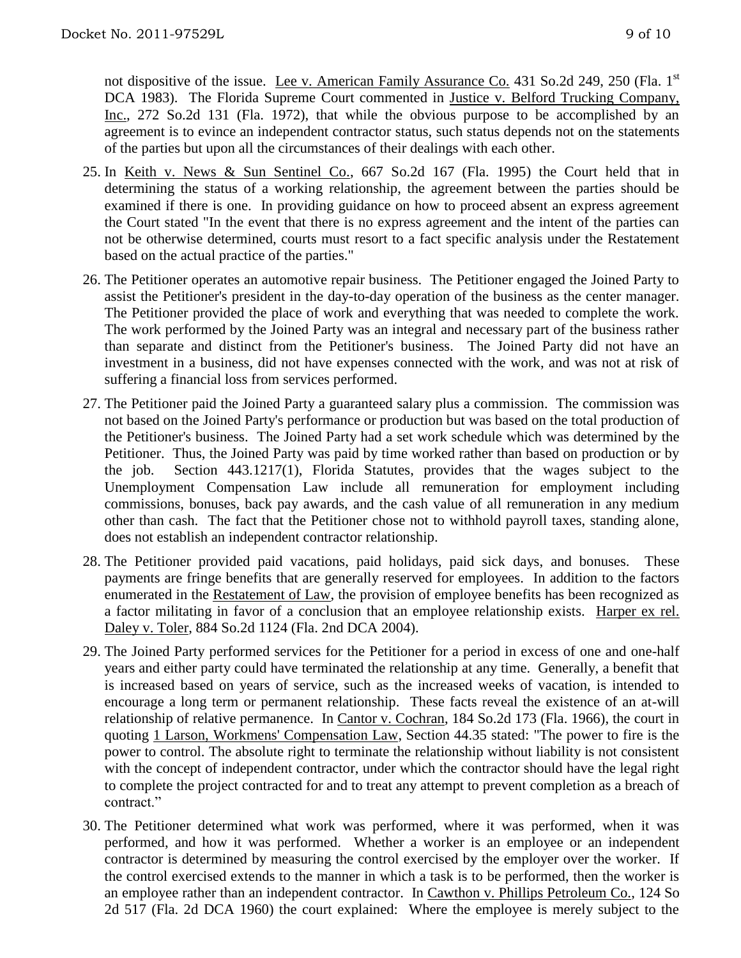not dispositive of the issue. Lee v. American Family Assurance Co. 431 So.2d 249, 250 (Fla. 1<sup>st</sup> DCA 1983). The Florida Supreme Court commented in <u>Justice v. Belford Trucking Company</u>, Inc., 272 So.2d 131 (Fla. 1972), that while the obvious purpose to be accomplished by an agreement is to evince an independent contractor status, such status depends not on the statements of the parties but upon all the circumstances of their dealings with each other.

- 25. In Keith v. News & Sun Sentinel Co., 667 So.2d 167 (Fla. 1995) the Court held that in determining the status of a working relationship, the agreement between the parties should be examined if there is one. In providing guidance on how to proceed absent an express agreement the Court stated "In the event that there is no express agreement and the intent of the parties can not be otherwise determined, courts must resort to a fact specific analysis under the Restatement based on the actual practice of the parties."
- 26. The Petitioner operates an automotive repair business. The Petitioner engaged the Joined Party to assist the Petitioner's president in the day-to-day operation of the business as the center manager. The Petitioner provided the place of work and everything that was needed to complete the work. The work performed by the Joined Party was an integral and necessary part of the business rather than separate and distinct from the Petitioner's business. The Joined Party did not have an investment in a business, did not have expenses connected with the work, and was not at risk of suffering a financial loss from services performed.
- 27. The Petitioner paid the Joined Party a guaranteed salary plus a commission. The commission was not based on the Joined Party's performance or production but was based on the total production of the Petitioner's business. The Joined Party had a set work schedule which was determined by the Petitioner. Thus, the Joined Party was paid by time worked rather than based on production or by the job. Section 443.1217(1), Florida Statutes, provides that the wages subject to the Unemployment Compensation Law include all remuneration for employment including commissions, bonuses, back pay awards, and the cash value of all remuneration in any medium other than cash. The fact that the Petitioner chose not to withhold payroll taxes, standing alone, does not establish an independent contractor relationship.
- 28. The Petitioner provided paid vacations, paid holidays, paid sick days, and bonuses. These payments are fringe benefits that are generally reserved for employees. In addition to the factors enumerated in the Restatement of Law, the provision of employee benefits has been recognized as a factor militating in favor of a conclusion that an employee relationship exists. Harper ex rel. Daley v. Toler, 884 So.2d 1124 (Fla. 2nd DCA 2004).
- 29. The Joined Party performed services for the Petitioner for a period in excess of one and one-half years and either party could have terminated the relationship at any time. Generally, a benefit that is increased based on years of service, such as the increased weeks of vacation, is intended to encourage a long term or permanent relationship. These facts reveal the existence of an at-will relationship of relative permanence. In Cantor v. Cochran, 184 So.2d 173 (Fla. 1966), the court in quoting 1 Larson, Workmens' Compensation Law, Section 44.35 stated: "The power to fire is the power to control. The absolute right to terminate the relationship without liability is not consistent with the concept of independent contractor, under which the contractor should have the legal right to complete the project contracted for and to treat any attempt to prevent completion as a breach of contract<sup>"</sup>
- 30. The Petitioner determined what work was performed, where it was performed, when it was performed, and how it was performed. Whether a worker is an employee or an independent contractor is determined by measuring the control exercised by the employer over the worker. If the control exercised extends to the manner in which a task is to be performed, then the worker is an employee rather than an independent contractor. In Cawthon v. Phillips Petroleum Co., 124 So 2d 517 (Fla. 2d DCA 1960) the court explained: Where the employee is merely subject to the